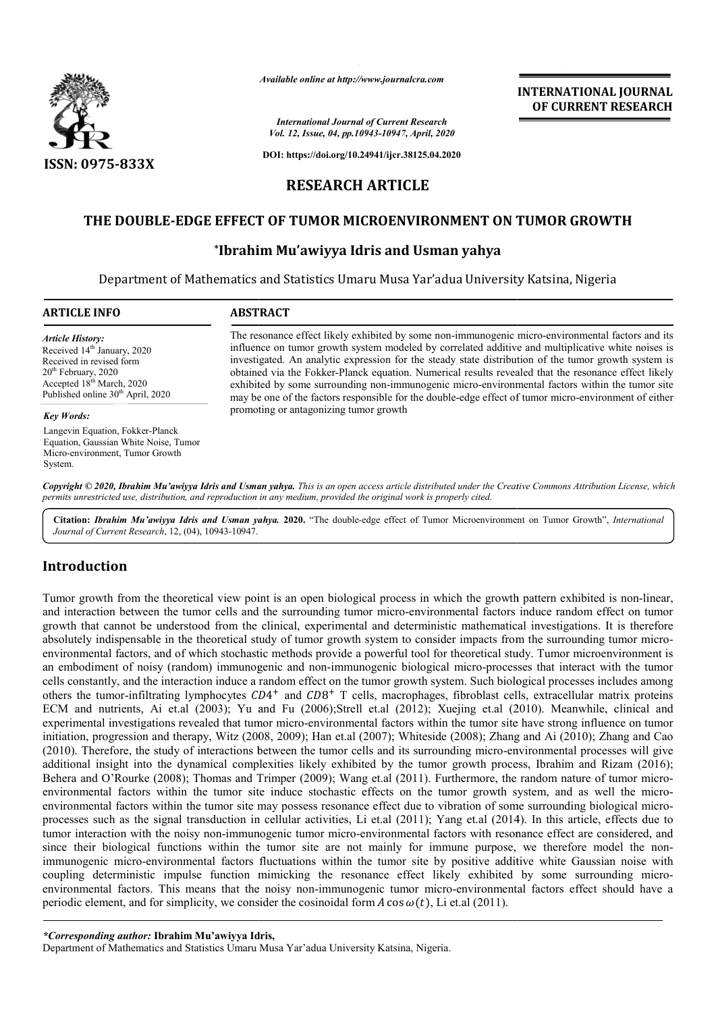

*Available online at http://www.journalcra.com*

*International Journal of Current Research Vol. 12, Issue, 04, pp.10943-10947, April, 2020* **INTERNATIONAL JOURNAL OF CURRENT RESEARCH**

**DOI: https://doi.org/10.24941/ijcr.38125.04.2020**

# **RESEARCH ARTICLE**

# **THE DOUBLE-EDGE EFFECT OF TUMOR MICROENVIRONMENT ON TUMOR GROWTH EDGE Ibrahim TUMOR**

## **\*Ibrahim Mu'awiyya Idris and Usman yahya**

Department of Mathematics and Statistics Umaru Musa Yar'adua University Katsina, Nigeria

| <b>ARTICLE INFO</b>                                                                                                                                                                                               | <b>ABSTRACT</b>                                                                                                                                                                                                                                                                                                                                                                                                                                                                                                                                                                                                                     |
|-------------------------------------------------------------------------------------------------------------------------------------------------------------------------------------------------------------------|-------------------------------------------------------------------------------------------------------------------------------------------------------------------------------------------------------------------------------------------------------------------------------------------------------------------------------------------------------------------------------------------------------------------------------------------------------------------------------------------------------------------------------------------------------------------------------------------------------------------------------------|
| <b>Article History:</b><br>Received 14 <sup>th</sup> January, 2020<br>Received in revised form<br>$20th$ February, 2020<br>Accepted 18 <sup>th</sup> March, 2020<br>Published online 30 <sup>th</sup> April, 2020 | The resonance effect likely exhibited by some non-immunogenic micro-environmental factors and its<br>influence on tumor growth system modeled by correlated additive and multiplicative white noises is<br>investigated. An analytic expression for the steady state distribution of the tumor growth system is<br>obtained via the Fokker-Planck equation. Numerical results revealed that the resonance effect likely<br>exhibited by some surrounding non-immunogenic micro-environmental factors within the tumor site<br>may be one of the factors responsible for the double-edge effect of tumor micro-environment of either |
| <b>Key Words:</b>                                                                                                                                                                                                 | promoting or antagonizing tumor growth                                                                                                                                                                                                                                                                                                                                                                                                                                                                                                                                                                                              |
| Langevin Equation, Fokker-Planck<br>Equation, Gaussian White Noise, Tumor<br>Micro-environment, Tumor Growth<br>System.                                                                                           |                                                                                                                                                                                                                                                                                                                                                                                                                                                                                                                                                                                                                                     |
|                                                                                                                                                                                                                   | Copyright © 2020, Ibrahim Mu'awiyya Idris and Usman yahya. This is an open access article distributed under the Creative Commons Attribution License, which<br>permits unrestricted use, distribution, and reproduction in any medium, provided the original work is properly cited.                                                                                                                                                                                                                                                                                                                                                |

Citation: *Ibrahim Mu'awiyya Idris and Usman yahya.* 2020. "The double-edge effect of Tumor Microenvironment on Tumor Growth", *International Journal of Current Research*, 12, (04), 10943-10947.

# **Introduction**

Tumor growth from the theoretical view point is an open biological process in which the growth pattern exhibited is non-linear, and interaction between the tumor cells and the surrounding tumor micro-environmental factors induce random effect on tumor growth that cannot be understood from the clinical, experimental and deterministic mathematical investigations. It is therefore absolutely indispensable in the theoretical study of tumor growth system to consider impacts from the surrounding tumor micro environmental factors, and of which stochastic methods provide a powerful tool for theoretical study. Tumor microenvironment is an embodiment of noisy (random) immunogenic and non-immunogenic biological micro-processes that interact with the tumor cells constantly, and the interaction induce a random effect on the tumor growth system. Such biological processes includes among others the tumor-infiltrating lymphocytes  $CD4^+$  and  $CD8^+$  T cells, macrophages, fibroblast cells, extracellular matrix proteins ECM and nutrients, Ai et.al (2003); Yu and Fu (2006);Strell et.al (2012); Xuejing et.al (2010). Meanwhile, clinical and ECM and nutrients, Ai et.al (2003); Yu and Fu (2006);Strell et.al (2012); Xuejing et.al (2010). Meanwhile, clinical and<br>experimental investigations revealed that tumor micro-environmental factors within the tumor site have initiation, progression and therapy, Witz (2008, 2009); Han et.al (2007); Whiteside (2008); Zhang and Ai (2010); Zhang and Cao initiation, progression and therapy, Witz (2008, 2009); Han et.al (2007); Whiteside (2008); Zhang and Ai (2010); Zhang and Cao<br>(2010). Therefore, the study of interactions between the tumor cells and its surrounding microadditional insight into the dynamical complexities likely exhibited by the tumor growth process, Ibrahim and Rizam (2016); Behera and O'Rourke (2008); Thomas and Trimper (2009); Wang et.al (2011). Furthermore, the random nature of tumor micro environmental factors within the tumor site induce stochastic effects on the tumor growth system, and as well the microenvironmental factors within the tumor site may possess resonance effect due to vibration of some surrounding biological microprocesses such as the signal transduction in cellular activities, Li et.al (2011); Yang et.al (2014). In this article, effects due to environmental factors within the tumor site induce stochastic effects on the tumor growth system, and as well the micro-<br>environmental factors within the tumor site may possess resonance effect due to vibration of some sur processes such as the signal transduction in cellular activities, Li et.al (2011); Yang et.al (2014). In this article, effects due to<br>tumor interaction with the noisy non-immunogenic tumor micro-environmental factors with since their biological functions within the tumor site are not mainly for immune purpose, we therefore model the non-<br>immunogenic micro-environmental factors fluctuations within the tumor site by positive additive white Ga coupling deterministic impulse function mimicking the resonance effect likely exhibited by some surrounding micro environmental factors. This means that the noisy non-immunogenic tumor micro-environmental factors effect should have a periodic element, and for simplicity, we consider the cosinoidal form  $A \cos \omega(t)$ , Li et.al (2011). th that cannot be understood from the clinical, experimental and deterministic mathematical investigations. It is therefore<br>utely indispensable in the theoretical study of tumor growth system to consider impacts from the s and interaction between the tumor cells and the surrounding tumor micro-environmental factors induce random effect on tumor<br>growth that cannot be understood from the clinical, experimental and deterministic mathematical in nmental factors, and of which stochastic methods provide a powerful tool for theoretical study. Tumor microenvironment is<br>bodiment of noisy (random) immunogenic and non-immunogenic biological micro-processes that interact environmental factors fluctuations within the tumor site by positive additive white Gaussian noise with<br>ic impulse function mimicking the resonance effect likely exhibited by some surrounding micro-**INTERNATIONAL JOURNAL OF CURRENT RESEARCH**<br> **OF CURRENT RESEARCH**<br> **OP CURRENT RESEARCH**<br> **OP**<br> **OP**<br> **OP**<br> **OP**<br> **OP**<br> **OP**<br> **OP**<br> **OP**<br> **OP**<br> **OP**<br> **OP**<br> **OP**<br> **OP**<br> **OP**<br> **OP**<br> **OP**<br> **OP**<br> **OP**<br> **OP**<br> **OP**<br> **OP**<br> **OP**<br>

*\*Corresponding author:* **Ibrahim Mu'awiyya Idris Idris,**

Department of Mathematics and Statistics Umaru Musa Yar'adua University Katsina, Nigeria Nigeria.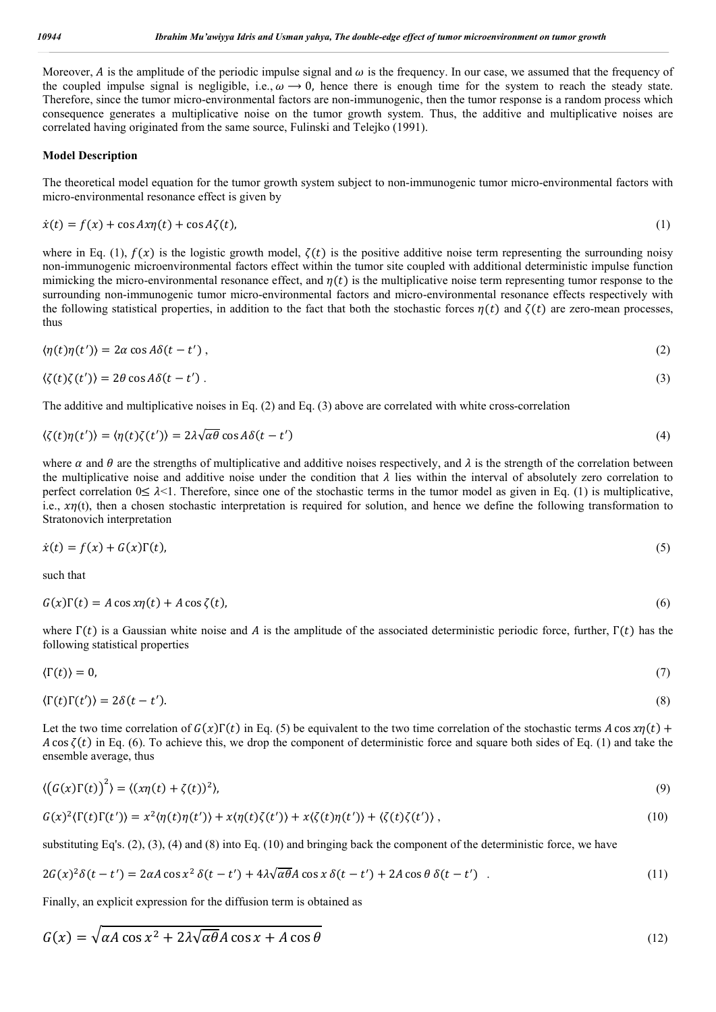Moreover, A is the amplitude of the periodic impulse signal and  $\omega$  is the frequency. In our case, we assumed that the frequency of the coupled impulse signal is negligible, i.e.,  $\omega \rightarrow 0$ , hence there is enough time for the system to reach the steady state. Therefore, since the tumor micro-environmental factors are non-immunogenic, then the tumor response is a random process which consequence generates a multiplicative noise on the tumor growth system. Thus, the additive and multiplicative noises are correlated having originated from the same source, Fulinski and Telejko (1991).

### **Model Description**

The theoretical model equation for the tumor growth system subject to non-immunogenic tumor micro-environmental factors with micro-environmental resonance effect is given by

$$
\dot{x}(t) = f(x) + \cos Ax \eta(t) + \cos A \zeta(t),\tag{1}
$$

where in Eq. (1),  $f(x)$  is the logistic growth model,  $\zeta(t)$  is the positive additive noise term representing the surrounding noisy non-immunogenic microenvironmental factors effect within the tumor site coupled with additional deterministic impulse function mimicking the micro-environmental resonance effect, and  $\eta(t)$  is the multiplicative noise term representing tumor response to the surrounding non-immunogenic tumor micro-environmental factors and micro-environmental resonance effects respectively with the following statistical properties, in addition to the fact that both the stochastic forces  $\eta(t)$  and  $\zeta(t)$  are zero-mean processes, thus

$$
\langle \eta(t)\eta(t')\rangle = 2\alpha \cos A\delta(t-t'),\tag{2}
$$

$$
\langle \zeta(t)\zeta(t')\rangle = 2\theta \cos A\delta(t - t')\,. \tag{3}
$$

The additive and multiplicative noises in Eq. (2) and Eq. (3) above are correlated with white cross-correlation

$$
\langle \zeta(t)\eta(t') \rangle = \langle \eta(t)\zeta(t') \rangle = 2\lambda \sqrt{\alpha \theta} \cos A \delta(t - t')
$$
\n(4)

where  $\alpha$  and  $\theta$  are the strengths of multiplicative and additive noises respectively, and  $\lambda$  is the strength of the correlation between the multiplicative noise and additive noise under the condition that  $\lambda$  lies within the interval of absolutely zero correlation to perfect correlation  $0 \leq \lambda < 1$ . Therefore, since one of the stochastic terms in the tumor model as given in Eq. (1) is multiplicative, i.e.,  $x\eta(t)$ , then a chosen stochastic interpretation is required for solution, and hence we define the following transformation to Stratonovich interpretation

$$
\dot{x}(t) = f(x) + G(x)\Gamma(t),\tag{5}
$$

such that

$$
G(x)\Gamma(t) = A\cos x\eta(t) + A\cos\zeta(t),\tag{6}
$$

where  $\Gamma(t)$  is a Gaussian white noise and A is the amplitude of the associated deterministic periodic force, further,  $\Gamma(t)$  has the following statistical properties

$$
\langle \Gamma(t) \rangle = 0, \tag{7}
$$

$$
\langle \Gamma(t)\Gamma(t')\rangle = 2\delta(t-t').\tag{8}
$$

Let the two time correlation of  $G(x)\Gamma(t)$  in Eq. (5) be equivalent to the two time correlation of the stochastic terms A cos  $x\eta(t)$  + A cos  $\zeta(t)$  in Eq. (6). To achieve this, we drop the component of deterministic force and square both sides of Eq. (1) and take the ensemble average, thus

$$
\langle \left( G(x)\Gamma(t) \right)^2 \rangle = \langle (x\eta(t) + \zeta(t))^2 \rangle, \tag{9}
$$

$$
G(x)^{2}\langle \Gamma(t)\Gamma(t')\rangle = x^{2}\langle \eta(t)\eta(t')\rangle + x\langle \eta(t)\zeta(t')\rangle + x\langle \zeta(t)\eta(t')\rangle + \langle \zeta(t)\zeta(t')\rangle, \qquad (10)
$$

substituting Eq's.  $(2)$ ,  $(3)$ ,  $(4)$  and  $(8)$  into Eq.  $(10)$  and bringing back the component of the deterministic force, we have

$$
2G(x)^{2}\delta(t-t') = 2\alpha A \cos x^{2} \delta(t-t') + 4\lambda \sqrt{\alpha \theta} A \cos x \delta(t-t') + 2A \cos \theta \delta(t-t') \quad . \tag{11}
$$

Finally, an explicit expression for the diffusion term is obtained as

$$
G(x) = \sqrt{\alpha A} \cos x^2 + 2\lambda \sqrt{\alpha \theta} A \cos x + A \cos \theta
$$
 (12)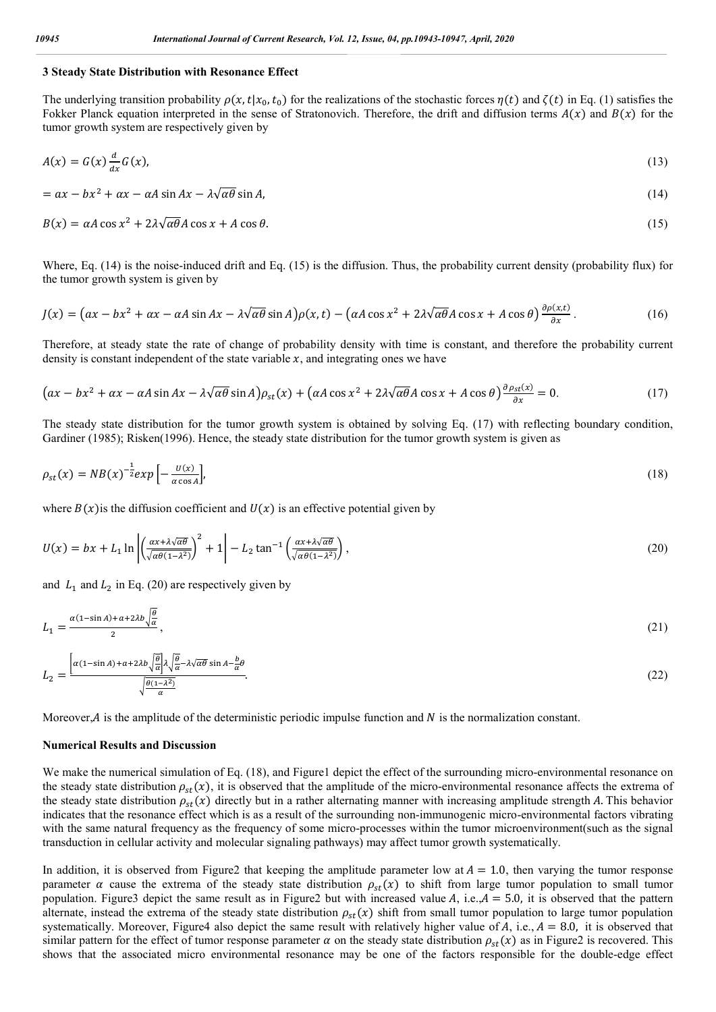#### **3 Steady State Distribution with Resonance Effect**

The underlying transition probability  $\rho(x,t|x_0,t_0)$  for the realizations of the stochastic forces  $\eta(t)$  and  $\zeta(t)$  in Eq. (1) satisfies the Fokker Planck equation interpreted in the sense of Stratonovich. Therefore, the drift and diffusion terms  $A(x)$  and  $B(x)$  for the tumor growth system are respectively given by

$$
A(x) = G(x) \frac{d}{dx} G(x),\tag{13}
$$

$$
= ax - bx^2 + \alpha x - \alpha A \sin Ax - \lambda \sqrt{\alpha \theta} \sin A, \tag{14}
$$

$$
B(x) = \alpha A \cos x^2 + 2\lambda \sqrt{\alpha \theta} A \cos x + A \cos \theta. \tag{15}
$$

Where, Eq. (14) is the noise-induced drift and Eq. (15) is the diffusion. Thus, the probability current density (probability flux) for the tumor growth system is given by

$$
J(x) = \left(ax - bx^2 + \alpha x - \alpha A \sin Ax - \lambda \sqrt{\alpha \theta} \sin A\right) \rho(x, t) - \left(\alpha A \cos x^2 + 2\lambda \sqrt{\alpha \theta} A \cos x + A \cos \theta\right) \frac{\partial \rho(x, t)}{\partial x}.
$$
 (16)

Therefore, at steady state the rate of change of probability density with time is constant, and therefore the probability current density is constant independent of the state variable  $x$ , and integrating ones we have

$$
\left(ax - bx^2 + \alpha x - \alpha A \sin Ax - \lambda \sqrt{\alpha \theta} \sin A\right)\rho_{st}(x) + \left(\alpha A \cos x^2 + 2\lambda \sqrt{\alpha \theta} A \cos x + A \cos \theta\right)\frac{\partial \rho_{st}(x)}{\partial x} = 0. \tag{17}
$$

The steady state distribution for the tumor growth system is obtained by solving Eq. (17) with reflecting boundary condition, Gardiner (1985); Risken(1996). Hence, the steady state distribution for the tumor growth system is given as

$$
\rho_{st}(x) = NB(x)^{-\frac{1}{2}} exp\left[-\frac{U(x)}{\alpha \cos A}\right],\tag{18}
$$

where  $B(x)$  is the diffusion coefficient and  $U(x)$  is an effective potential given by

$$
U(x) = bx + L_1 \ln \left| \left( \frac{\alpha x + \lambda \sqrt{\alpha \theta}}{\sqrt{\alpha \theta (1 - \lambda^2)}} \right)^2 + 1 \right| - L_2 \tan^{-1} \left( \frac{\alpha x + \lambda \sqrt{\alpha \theta}}{\sqrt{\alpha \theta (1 - \lambda^2)}} \right), \tag{20}
$$

and  $L_1$  and  $L_2$  in Eq. (20) are respectively given by

$$
L_1 = \frac{\alpha(1-\sin A) + \alpha + 2\lambda b \sqrt{\frac{\theta}{\alpha}}}{2},\tag{21}
$$

$$
L_2 = \frac{\left[\alpha(1-\sin A) + \alpha + 2\lambda b \sqrt{\frac{\theta}{\alpha}}\right] \lambda \sqrt{\frac{\theta}{\alpha}} - \lambda \sqrt{\alpha \theta} \sin A - \frac{b}{\alpha \theta}}{\sqrt{\frac{\theta(1-\lambda^2)}{\alpha}}}.
$$
\n(22)

Moreover, A is the amplitude of the deterministic periodic impulse function and  $N$  is the normalization constant.

#### **Numerical Results and Discussion**

We make the numerical simulation of Eq. (18), and Figure1 depict the effect of the surrounding micro-environmental resonance on the steady state distribution  $\rho_{st}(x)$ , it is observed that the amplitude of the micro-environmental resonance affects the extrema of the steady state distribution  $\rho_{st}(x)$  directly but in a rather alternating manner with increasing amplitude strength A. This behavior indicates that the resonance effect which is as a result of the surrounding non-immunogenic micro-environmental factors vibrating with the same natural frequency as the frequency of some micro-processes within the tumor microenvironment(such as the signal transduction in cellular activity and molecular signaling pathways) may affect tumor growth systematically.

In addition, it is observed from Figure2 that keeping the amplitude parameter low at  $A = 1.0$ , then varying the tumor response parameter  $\alpha$  cause the extrema of the steady state distribution  $\rho_{st}(x)$  to shift from large tumor population to small tumor population. Figure3 depict the same result as in Figure2 but with increased value  $A$ , i.e.,  $A = 5.0$ , it is observed that the pattern alternate, instead the extrema of the steady state distribution  $\rho_{st}(x)$  shift from small tumor population to large tumor population systematically. Moreover, Figure4 also depict the same result with relatively higher value of A, i.e.,  $A = 8.0$ , it is observed that similar pattern for the effect of tumor response parameter  $\alpha$  on the steady state distribution  $\rho_{st}(x)$  as in Figure2 is recovered. This shows that the associated micro environmental resonance may be one of the factors responsible for the double-edge effect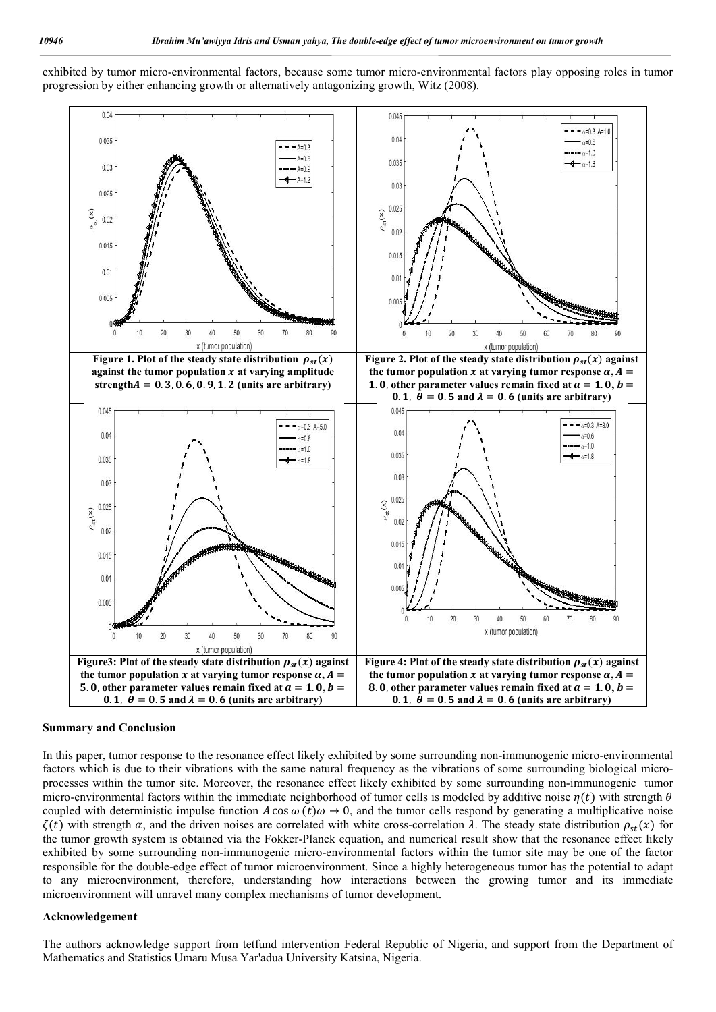exhibited by tumor micro-environmental factors, because some tumor micro-environmental factors play opposing roles in tumor progression by either enhancing growth or alternatively antagonizing growth, Witz (2008).



#### **Summary and Conclusion**

In this paper, tumor response to the resonance effect likely exhibited by some surrounding non-immunogenic micro-environmental factors which is due to their vibrations with the same natural frequency as the vibrations of some surrounding biological microprocesses within the tumor site. Moreover, the resonance effect likely exhibited by some surrounding non-immunogenic tumor micro-environmental factors within the immediate neighborhood of tumor cells is modeled by additive noise  $\eta(t)$  with strength  $\theta$ coupled with deterministic impulse function A cos  $\omega(t)\omega \to 0$ , and the tumor cells respond by generating a multiplicative noise  $\zeta(t)$  with strength  $\alpha$ , and the driven noises are correlated with white cross-correlation  $\lambda$ . The steady state distribution  $\rho_{st}(x)$  for the tumor growth system is obtained via the Fokker-Planck equation, and numerical result show that the resonance effect likely exhibited by some surrounding non-immunogenic micro-environmental factors within the tumor site may be one of the factor responsible for the double-edge effect of tumor microenvironment. Since a highly heterogeneous tumor has the potential to adapt to any microenvironment, therefore, understanding how interactions between the growing tumor and its immediate microenvironment will unravel many complex mechanisms of tumor development.

#### **Acknowledgement**

The authors acknowledge support from tetfund intervention Federal Republic of Nigeria, and support from the Department of Mathematics and Statistics Umaru Musa Yar'adua University Katsina, Nigeria.